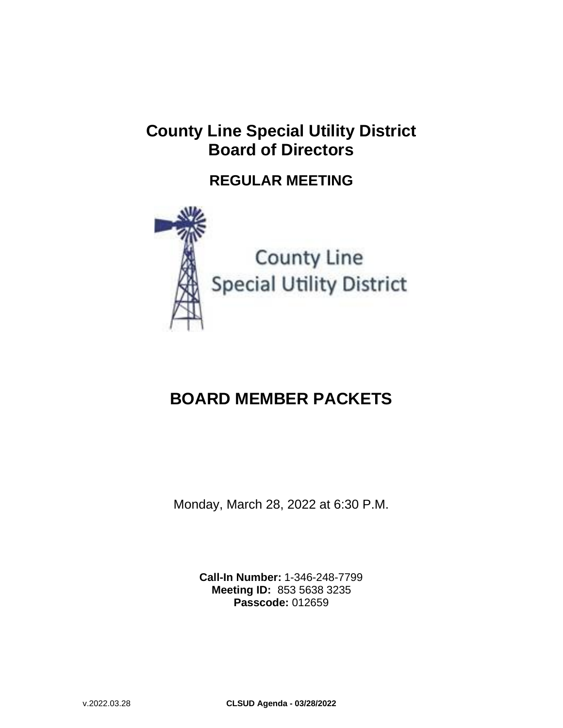## **County Line Special Utility District Board of Directors**

### **REGULAR MEETING**



**County Line Special Utility District** 

# **BOARD MEMBER PACKETS**

Monday, March 28, 2022 at 6:30 P.M.

**Call-In Number:** 1-346-248-7799 **Meeting ID:** 853 5638 3235 **Passcode:** 012659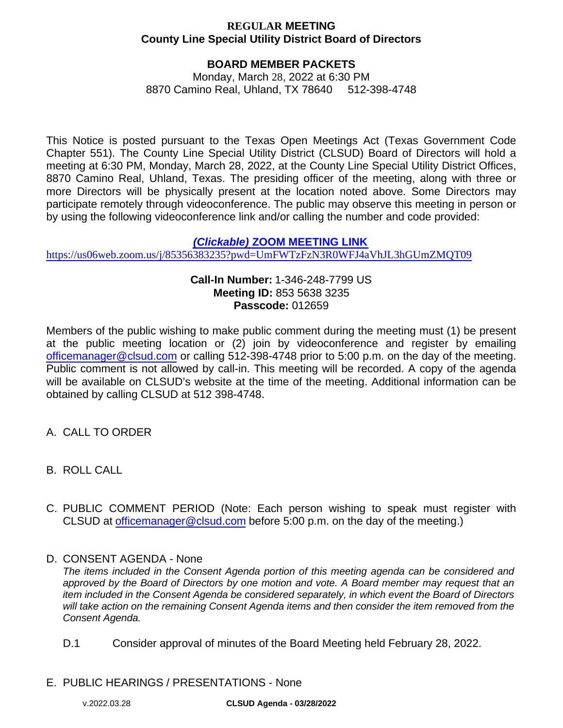#### **BOARD MEMBER PACKETS**

Monday, March 28, 2022 at 6:30 PM 8870 Camino Real, Uhland, TX 78640 512-398-4748

This Notice is posted pursuant to the Texas Open Meetings Act (Texas Government Code Chapter 551). The County Line Special Utility District (CLSUD) Board of Directors will hold a meeting at 6:30 PM, Monday, March 28, 2022, at the County Line Special Utility District Offices, 8870 Camino Real, Uhland, Texas. The presiding officer of the meeting, along with three or more Directors will be physically present at the location noted above. Some Directors may participate remotely through videoconference. The public may observe this meeting in person or by using the following videoconference link and/or calling the number and code provided:

#### *(Clickable)* **[ZOOM MEETING LINK](https://us06web.zoom.us/j/7321568424?pwd=ZklyNmZoUGNSTHVOdTlLdzVISWUzQT09)**

<https://us06web.zoom.us/j/85356383235?pwd=UmFWTzFzN3R0WFJ4aVhJL3hGUmZMQT09>

#### **Call-In Number:** 1-346-248-7799 US **Meeting ID:** 853 5638 3235 **Passcode:** 012659

Members of the public wishing to make public comment during the meeting must (1) be present at the public meeting location or (2) join by videoconference and register by emailing officemanager@[clsud.com](mailto:gmoore@alliancewater.org) or calling 512-398-4748 prior to 5:00 p.m. on the day of the meeting. Public comment is not allowed by call-in. This meeting will be recorded. A copy of the agenda will be available on CLSUD's website at the time of the meeting. Additional information can be obtained by calling CLSUD at 512 398-4748.

- A. CALL TO ORDER
- B. ROLL CALL
- C. PUBLIC COMMENT PERIOD (Note: Each person wishing to speak must register with CLSUD at officemanager@[clsud.com](mailto:gmoore@alliancewater.org) before 5:00 p.m. on the day of the meeting.)

#### D. CONSENT AGENDA - None

*The items included in the Consent Agenda portion of this meeting agenda can be considered and approved by the Board of Directors by one motion and vote. A Board member may request that an item included in the Consent Agenda be considered separately, in which event the Board of Directors will take action on the remaining Consent Agenda items and then consider the item removed from the Consent Agenda.*

- D.1 Consider approval of minutes of the Board Meeting held February 28, 2022.
- E. PUBLIC HEARINGS / PRESENTATIONS None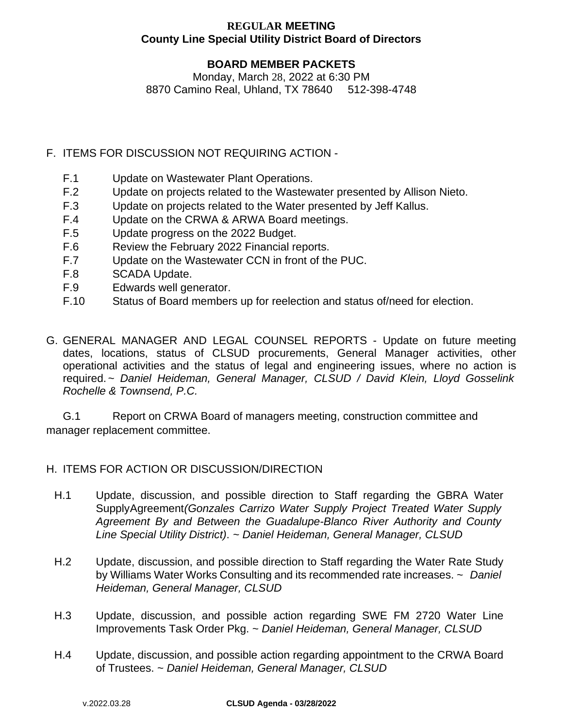#### **BOARD MEMBER PACKETS**

Monday, March 28, 2022 at 6:30 PM 8870 Camino Real, Uhland, TX 78640 512-398-4748

- F. ITEMS FOR DISCUSSION NOT REQUIRING ACTION
	- F.1 Update on Wastewater Plant Operations.
	- F.2 Update on projects related to the Wastewater presented by Allison Nieto.
	- F.3 Update on projects related to the Water presented by Jeff Kallus.
	- F.4 Update on the CRWA & ARWA Board meetings.
	- F.5 Update progress on the 2022 Budget.
	- F.6 Review the February 2022 Financial reports.
	- F.7 Update on the Wastewater CCN in front of the PUC.
	- F.8 SCADA Update.
	- F.9 Edwards well generator.
	- F.10 Status of Board members up for reelection and status of/need for election.
- G. GENERAL MANAGER AND LEGAL COUNSEL REPORTS Update on future meeting dates, locations, status of CLSUD procurements, General Manager activities, other operational activities and the status of legal and engineering issues, where no action is required.*~ Daniel Heideman, General Manager, CLSUD / David Klein, Lloyd Gosselink Rochelle & Townsend, P.C.*

G.1 Report on CRWA Board of managers meeting, construction committee and manager replacement committee.

#### H. ITEMS FOR ACTION OR DISCUSSION/DIRECTION

- H.1 Update, discussion, and possible direction to Staff regarding the GBRA Water SupplyAgreement*(Gonzales Carrizo Water Supply Project Treated Water Supply Agreement By and Between the Guadalupe-Blanco River Authority and County Line Special Utility District)*. *~ Daniel Heideman, General Manager, CLSUD*
- H.2 Update, discussion, and possible direction to Staff regarding the Water Rate Study by Williams Water Works Consulting and its recommended rate increases. *~ Daniel Heideman, General Manager, CLSUD*
- H.3 Update, discussion, and possible action regarding SWE FM 2720 Water Line Improvements Task Order Pkg. *~ Daniel Heideman, General Manager, CLSUD*
- H.4 Update, discussion, and possible action regarding appointment to the CRWA Board of Trustees. ~ *Daniel Heideman, General Manager, CLSUD*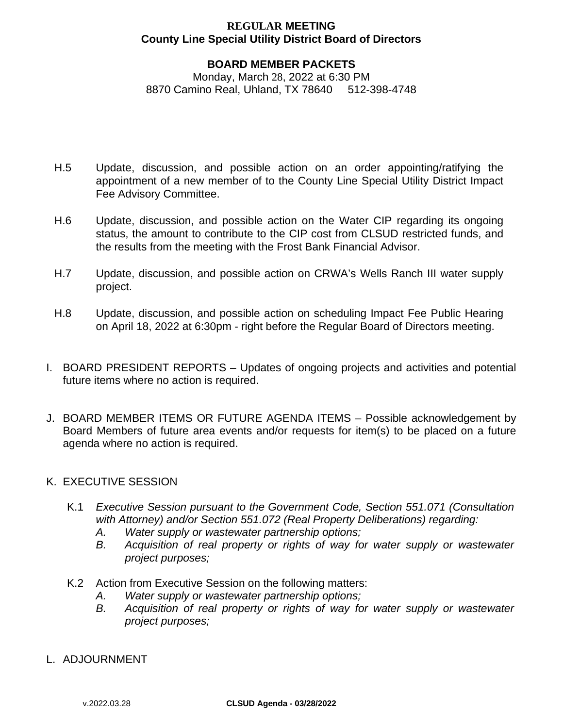#### **BOARD MEMBER PACKETS**

Monday, March 28, 2022 at 6:30 PM 8870 Camino Real, Uhland, TX 78640 512-398-4748

- H.5 Update, discussion, and possible action on an order appointing/ratifying the appointment of a new member of to the County Line Special Utility District Impact Fee Advisory Committee.
- H.6 Update, discussion, and possible action on the Water CIP regarding its ongoing status, the amount to contribute to the CIP cost from CLSUD restricted funds, and the results from the meeting with the Frost Bank Financial Advisor.
- H.7 Update, discussion, and possible action on CRWA's Wells Ranch III water supply project.
- H.8 Update, discussion, and possible action on scheduling Impact Fee Public Hearing on April 18, 2022 at 6:30pm - right before the Regular Board of Directors meeting.
- I. BOARD PRESIDENT REPORTS Updates of ongoing projects and activities and potential future items where no action is required.
- J. BOARD MEMBER ITEMS OR FUTURE AGENDA ITEMS Possible acknowledgement by Board Members of future area events and/or requests for item(s) to be placed on a future agenda where no action is required.
- K. EXECUTIVE SESSION
	- K.1 *Executive Session pursuant to the Government Code, Section 551.071 (Consultation with Attorney) and/or Section 551.072 (Real Property Deliberations) regarding:*
		- *A. Water supply or wastewater partnership options;*
		- *B. Acquisition of real property or rights of way for water supply or wastewater project purposes;*
	- K.2 Action from Executive Session on the following matters:
		- *A. Water supply or wastewater partnership options;*
		- *B. Acquisition of real property or rights of way for water supply or wastewater project purposes;*
- L. ADJOURNMENT